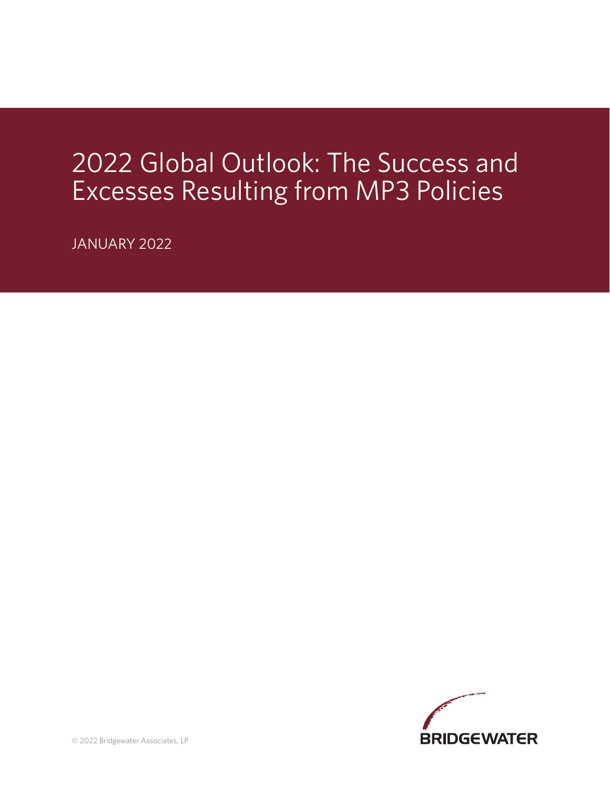# 2022 Global Outlook: The Success and Excesses Resulting from MP3 Policies

JANUARY 2022

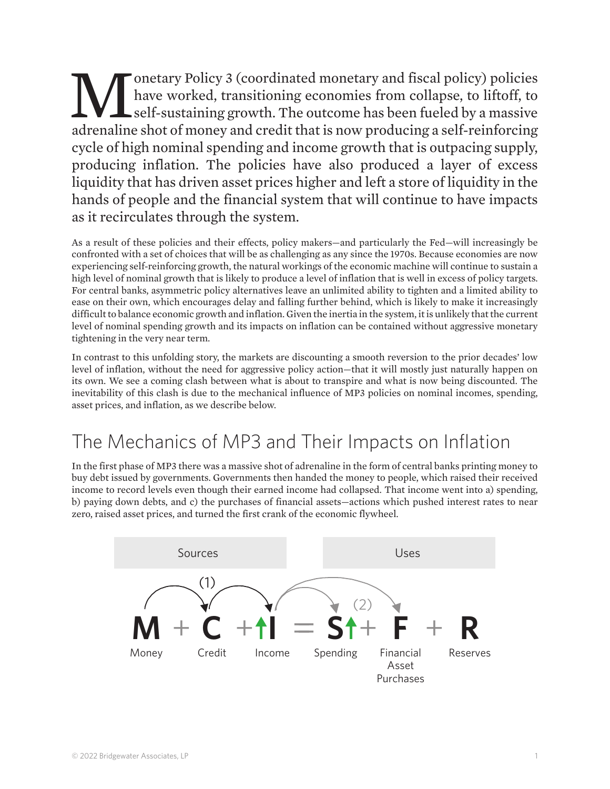Monetary Policy 3 (coordinated monetary and fiscal policy) policies<br>have worked, transitioning economies from collapse, to liftoff, to<br>self-sustaining growth. The outcome has been fueled by a massive<br>adrenaline shot of mon have worked, transitioning economies from collapse, to liftoff, to self-sustaining growth. The outcome has been fueled by a massive adrenaline shot of money and credit that is now producing a self-reinforcing cycle of high nominal spending and income growth that is outpacing supply, producing inflation. The policies have also produced a layer of excess liquidity that has driven asset prices higher and left a store of liquidity in the hands of people and the financial system that will continue to have impacts as it recirculates through the system.

As a result of these policies and their effects, policy makers—and particularly the Fed—will increasingly be confronted with a set of choices that will be as challenging as any since the 1970s. Because economies are now experiencing self-reinforcing growth, the natural workings of the economic machine will continue to sustain a high level of nominal growth that is likely to produce a level of inflation that is well in excess of policy targets. For central banks, asymmetric policy alternatives leave an unlimited ability to tighten and a limited ability to ease on their own, which encourages delay and falling further behind, which is likely to make it increasingly difficult to balance economic growth and inflation. Given the inertia in the system, it is unlikely that the current level of nominal spending growth and its impacts on inflation can be contained without aggressive monetary tightening in the very near term.

In contrast to this unfolding story, the markets are discounting a smooth reversion to the prior decades' low level of inflation, without the need for aggressive policy action—that it will mostly just naturally happen on its own. We see a coming clash between what is about to transpire and what is now being discounted. The inevitability of this clash is due to the mechanical influence of MP3 policies on nominal incomes, spending, asset prices, and inflation, as we describe below.

## The Mechanics of MP3 and Their Impacts on Inflation

In the first phase of MP3 there was a massive shot of adrenaline in the form of central banks printing money to buy debt issued by governments. Governments then handed the money to people, which raised their received income to record levels even though their earned income had collapsed. That income went into a) spending, b) paying down debts, and c) the purchases of financial assets—actions which pushed interest rates to near zero, raised asset prices, and turned the first crank of the economic flywheel.

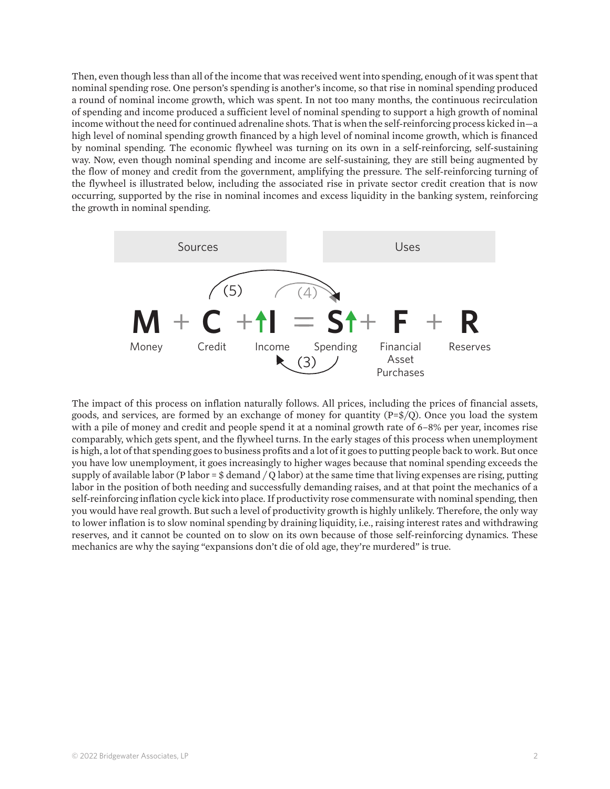Then, even though less than all of the income that was received went into spending, enough of it was spent that nominal spending rose. One person's spending is another's income, so that rise in nominal spending produced a round of nominal income growth, which was spent. In not too many months, the continuous recirculation of spending and income produced a sufficient level of nominal spending to support a high growth of nominal income without the need for continued adrenaline shots. That is when the self-reinforcing process kicked in—a high level of nominal spending growth financed by a high level of nominal income growth, which is financed by nominal spending. The economic flywheel was turning on its own in a self-reinforcing, self-sustaining way. Now, even though nominal spending and income are self-sustaining, they are still being augmented by the flow of money and credit from the government, amplifying the pressure. The self-reinforcing turning of the flywheel is illustrated below, including the associated rise in private sector credit creation that is now occurring, supported by the rise in nominal incomes and excess liquidity in the banking system, reinforcing the growth in nominal spending.



The impact of this process on inflation naturally follows. All prices, including the prices of financial assets, goods, and services, are formed by an exchange of money for quantity  $(P=\frac{6}{Q})$ . Once you load the system with a pile of money and credit and people spend it at a nominal growth rate of 6–8% per year, incomes rise comparably, which gets spent, and the flywheel turns. In the early stages of this process when unemployment is high, a lot of that spending goes to business profits and a lot of it goes to putting people back to work. But once you have low unemployment, it goes increasingly to higher wages because that nominal spending exceeds the supply of available labor (P labor =  $\frac{1}{2}$  demand / Q labor) at the same time that living expenses are rising, putting labor in the position of both needing and successfully demanding raises, and at that point the mechanics of a self-reinforcing inflation cycle kick into place. If productivity rose commensurate with nominal spending, then you would have real growth. But such a level of productivity growth is highly unlikely. Therefore, the only way to lower inflation is to slow nominal spending by draining liquidity, i.e., raising interest rates and withdrawing reserves, and it cannot be counted on to slow on its own because of those self-reinforcing dynamics. These mechanics are why the saying "expansions don't die of old age, they're murdered" is true.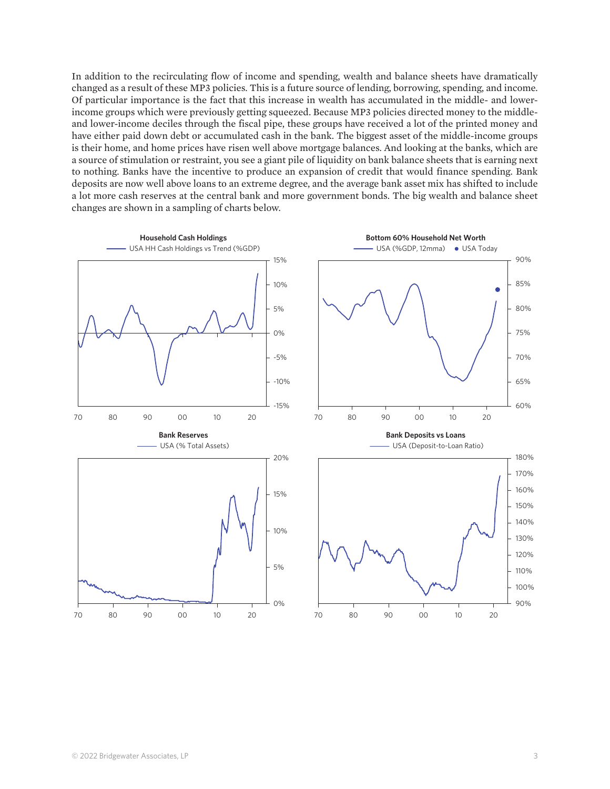In addition to the recirculating flow of income and spending, wealth and balance sheets have dramatically changed as a result of these MP3 policies. This is a future source of lending, borrowing, spending, and income. Of particular importance is the fact that this increase in wealth has accumulated in the middle- and lowerincome groups which were previously getting squeezed. Because MP3 policies directed money to the middleand lower-income deciles through the fiscal pipe, these groups have received a lot of the printed money and have either paid down debt or accumulated cash in the bank. The biggest asset of the middle-income groups is their home, and home prices have risen well above mortgage balances. And looking at the banks, which are a source of stimulation or restraint, you see a giant pile of liquidity on bank balance sheets that is earning next to nothing. Banks have the incentive to produce an expansion of credit that would finance spending. Bank deposits are now well above loans to an extreme degree, and the average bank asset mix has shifted to include a lot more cash reserves at the central bank and more government bonds. The big wealth and balance sheet changes are shown in a sampling of charts below.

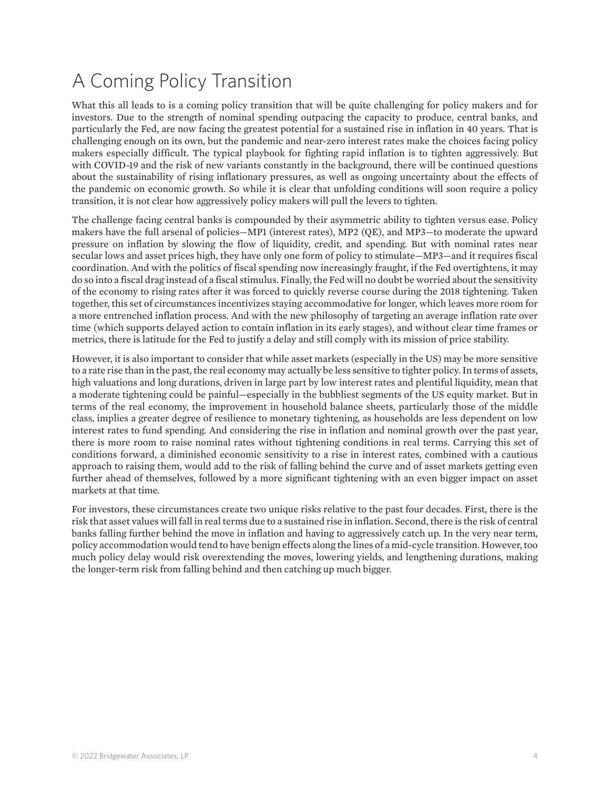#### A Coming Policy Transition

What this all leads to is a coming policy transition that will be quite challenging for policy makers and for investors. Due to the strength of nominal spending outpacing the capacity to produce, central banks, and particularly the Fed, are now facing the greatest potential for a sustained rise in inflation in 40 years. That is challenging enough on its own, but the pandemic and near-zero interest rates make the choices facing policy makers especially difficult. The typical playbook for fighting rapid inflation is to tighten aggressively. But with COVID-19 and the risk of new variants constantly in the background, there will be continued questions about the sustainability of rising inflationary pressures, as well as ongoing uncertainty about the effects of the pandemic on economic growth. So while it is clear that unfolding conditions will soon require a policy transition, it is not clear how aggressively policy makers will pull the levers to tighten.

The challenge facing central banks is compounded by their asymmetric ability to tighten versus ease. Policy makers have the full arsenal of policies—MP1 (interest rates), MP2 (QE), and MP3—to moderate the upward pressure on inflation by slowing the flow of liquidity, credit, and spending. But with nominal rates near secular lows and asset prices high, they have only one form of policy to stimulate—MP3—and it requires fiscal coordination. And with the politics of fiscal spending now increasingly fraught, if the Fed overtightens, it may do so into a fiscal drag instead of a fiscal stimulus. Finally, the Fed will no doubt be worried about the sensitivity of the economy to rising rates after it was forced to quickly reverse course during the 2018 tightening. Taken together, this set of circumstances incentivizes staying accommodative for longer, which leaves more room for a more entrenched inflation process. And with the new philosophy of targeting an average inflation rate over time (which supports delayed action to contain inflation in its early stages), and without clear time frames or metrics, there is latitude for the Fed to justify a delay and still comply with its mission of price stability.

However, it is also important to consider that while asset markets (especially in the US) may be more sensitive to a rate rise than in the past, the real economy may actually be less sensitive to tighter policy. In terms of assets, high valuations and long durations, driven in large part by low interest rates and plentiful liquidity, mean that a moderate tightening could be painful—especially in the bubbliest segments of the US equity market. But in terms of the real economy, the improvement in household balance sheets, particularly those of the middle class, implies a greater degree of resilience to monetary tightening, as households are less dependent on low interest rates to fund spending. And considering the rise in inflation and nominal growth over the past year, there is more room to raise nominal rates without tightening conditions in real terms. Carrying this set of conditions forward, a diminished economic sensitivity to a rise in interest rates, combined with a cautious approach to raising them, would add to the risk of falling behind the curve and of asset markets getting even further ahead of themselves, followed by a more significant tightening with an even bigger impact on asset markets at that time.

For investors, these circumstances create two unique risks relative to the past four decades. First, there is the risk that asset values will fall in real terms due to a sustained rise in inflation. Second, there is the risk of central banks falling further behind the move in inflation and having to aggressively catch up. In the very near term, policy accommodation would tend to have benign effects along the lines of a mid-cycle transition. However, too much policy delay would risk overextending the moves, lowering yields, and lengthening durations, making the longer-term risk from falling behind and then catching up much bigger.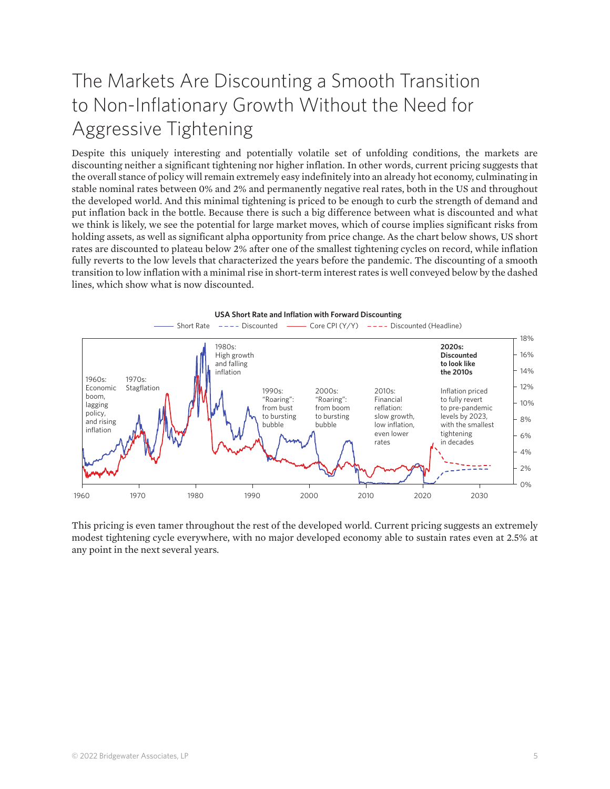#### The Markets Are Discounting a Smooth Transition to Non-Inflationary Growth Without the Need for Aggressive Tightening

Despite this uniquely interesting and potentially volatile set of unfolding conditions, the markets are discounting neither a significant tightening nor higher inflation. In other words, current pricing suggests that the overall stance of policy will remain extremely easy indefinitely into an already hot economy, culminating in stable nominal rates between 0% and 2% and permanently negative real rates, both in the US and throughout the developed world. And this minimal tightening is priced to be enough to curb the strength of demand and put inflation back in the bottle. Because there is such a big difference between what is discounted and what we think is likely, we see the potential for large market moves, which of course implies significant risks from holding assets, as well as significant alpha opportunity from price change. As the chart below shows, US short rates are discounted to plateau below 2% after one of the smallest tightening cycles on record, while inflation fully reverts to the low levels that characterized the years before the pandemic. The discounting of a smooth transition to low inflation with a minimal rise in short-term interest rates is well conveyed below by the dashed lines, which show what is now discounted.





This pricing is even tamer throughout the rest of the developed world. Current pricing suggests an extremely modest tightening cycle everywhere, with no major developed economy able to sustain rates even at 2.5% at any point in the next several years.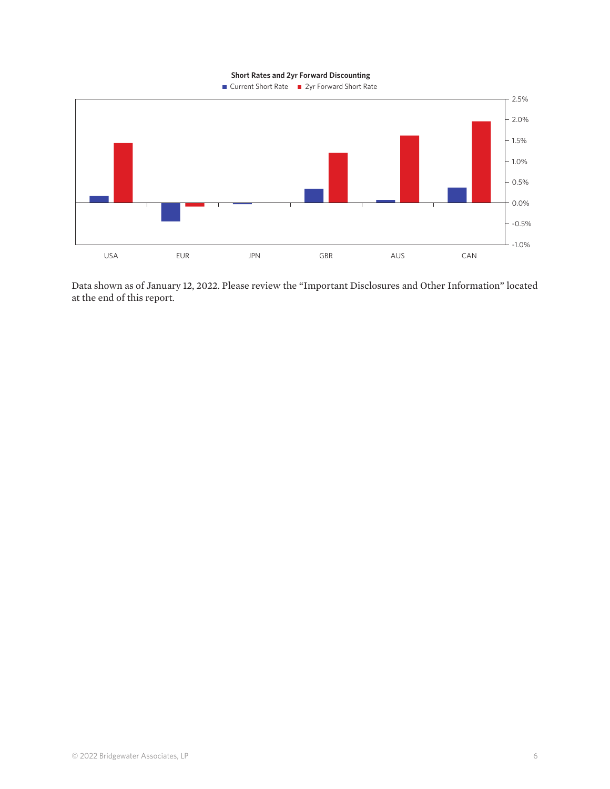**Short Rates and 2yr Forward Discounting**



Data shown as of January 12, 2022. Please review the "Important Disclosures and Other Information" located at the end of this report.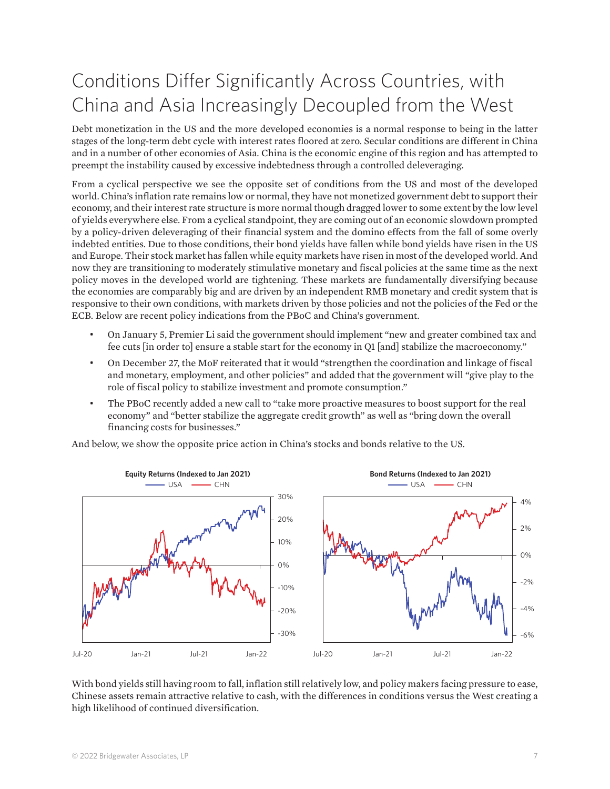## Conditions Differ Significantly Across Countries, with China and Asia Increasingly Decoupled from the West

Debt monetization in the US and the more developed economies is a normal response to being in the latter stages of the long-term debt cycle with interest rates floored at zero. Secular conditions are different in China and in a number of other economies of Asia. China is the economic engine of this region and has attempted to preempt the instability caused by excessive indebtedness through a controlled deleveraging.

From a cyclical perspective we see the opposite set of conditions from the US and most of the developed world. China's inflation rate remains low or normal, they have not monetized government debt to support their economy, and their interest rate structure is more normal though dragged lower to some extent by the low level of yields everywhere else. From a cyclical standpoint, they are coming out of an economic slowdown prompted by a policy-driven deleveraging of their financial system and the domino effects from the fall of some overly indebted entities. Due to those conditions, their bond yields have fallen while bond yields have risen in the US and Europe. Their stock market has fallen while equity markets have risen in most of the developed world. And now they are transitioning to moderately stimulative monetary and fiscal policies at the same time as the next policy moves in the developed world are tightening. These markets are fundamentally diversifying because the economies are comparably big and are driven by an independent RMB monetary and credit system that is responsive to their own conditions, with markets driven by those policies and not the policies of the Fed or the ECB. Below are recent policy indications from the PBoC and China's government.

- On January 5, Premier Li said the government should implement "new and greater combined tax and fee cuts [in order to] ensure a stable start for the economy in Q1 [and] stabilize the macroeconomy."
- On December 27, the MoF reiterated that it would "strengthen the coordination and linkage of fiscal and monetary, employment, and other policies" and added that the government will "give play to the role of fiscal policy to stabilize investment and promote consumption."
- The PBoC recently added a new call to "take more proactive measures to boost support for the real economy" and "better stabilize the aggregate credit growth" as well as "bring down the overall financing costs for businesses."

And below, we show the opposite price action in China's stocks and bonds relative to the US.



With bond yields still having room to fall, inflation still relatively low, and policy makers facing pressure to ease, Chinese assets remain attractive relative to cash, with the differences in conditions versus the West creating a high likelihood of continued diversification.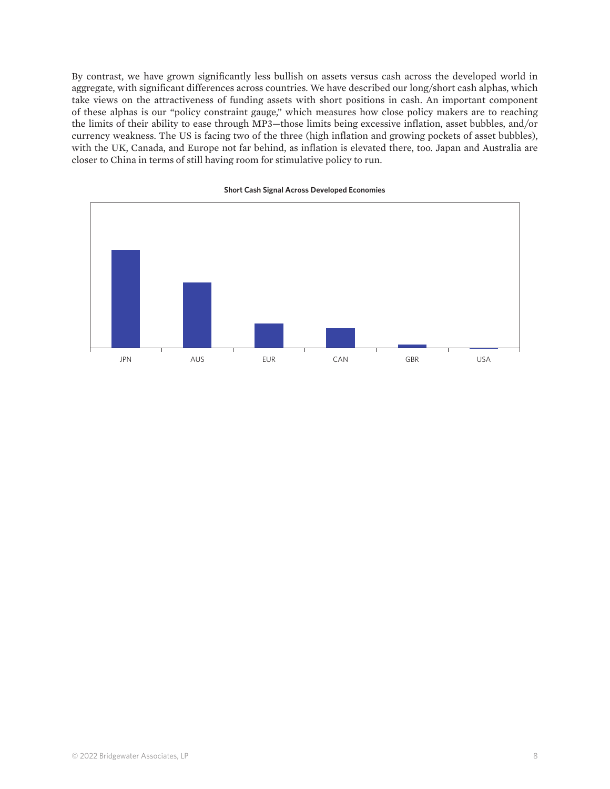By contrast, we have grown significantly less bullish on assets versus cash across the developed world in aggregate, with significant differences across countries. We have described our long/short cash alphas, which take views on the attractiveness of funding assets with short positions in cash. An important component of these alphas is our "policy constraint gauge," which measures how close policy makers are to reaching the limits of their ability to ease through MP3—those limits being excessive inflation, asset bubbles, and/or currency weakness. The US is facing two of the three (high inflation and growing pockets of asset bubbles), with the UK, Canada, and Europe not far behind, as inflation is elevated there, too. Japan and Australia are closer to China in terms of still having room for stimulative policy to run.



#### **Short Cash Signal Across Developed Economies**